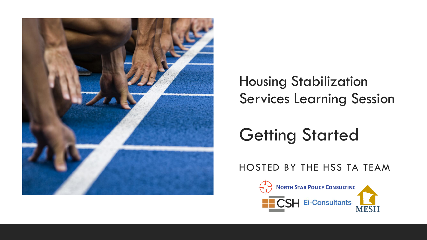

### Housing Stabilization Services Learning Session

### Getting Started

#### HOSTED BY THE HSS TA TEAM

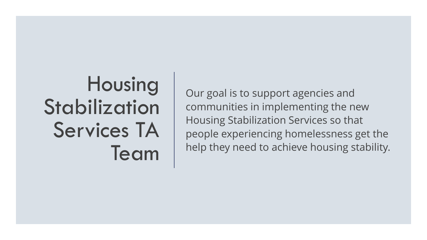## Housing Stabilization Services TA Team

Our goal is to support agencies and communities in implementing the new Housing Stabilization Services so that people experiencing homelessness get the help they need to achieve housing stability.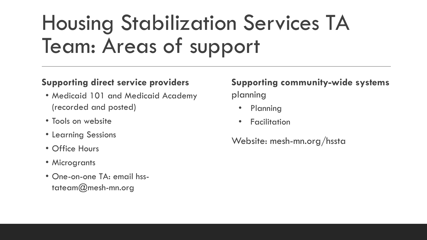# Housing Stabilization Services TA Team: Areas of support

#### **Supporting direct service providers**

- Medicaid 101 and Medicaid Academy (recorded and posted)
- Tools on website
- Learning Sessions
- Office Hours
- Microgrants
- One-on-one TA: email hsstateam@mesh-mn.org

#### **Supporting community-wide systems**  planning

- Planning
- **Facilitation**

Website: mesh-mn.org/hssta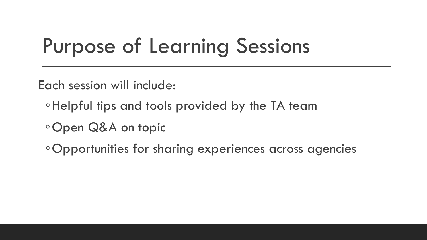# Purpose of Learning Sessions

Each session will include:

- ◦Helpful tips and tools provided by the TA team
- ◦Open Q&A on topic

◦Opportunities for sharing experiences across agencies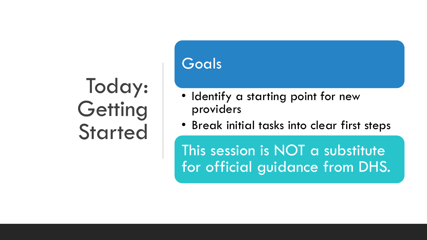## Today: **Getting Started**

### Goals

- Identify a starting point for new providers
- Break initial tasks into clear first steps

This session is NOT a substitute for official guidance from DHS.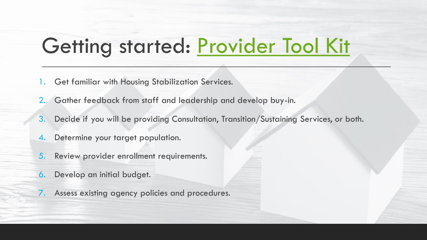### Getting started: [Provider Tool Kit](https://docs.google.com/document/d/1vv9vJIHqq_T9cahA052W45UjA4shebJh/edit)

- Get familiar with Housing Stabilization Services.
- 2. Gather feedback from staff and leadership and develop buy-in.
- 3. Decide if you will be providing Consultation, Transition/Sustaining Services, or both.
- 4. Determine your target population.
- 5. Review provider enrollment requirements.
- 6. Develop an initial budget.
- 7. Assess existing agency policies and procedures.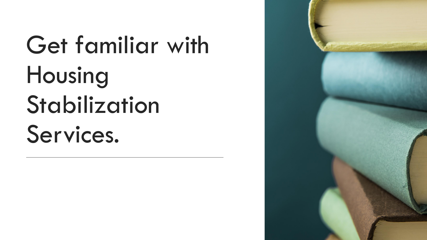# Get familiar with Housing Stabilization Services.

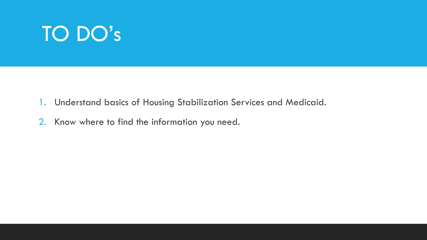- 1. Understand basics of Housing Stabilization Services and Medicaid.
- 2. Know where to find the information you need.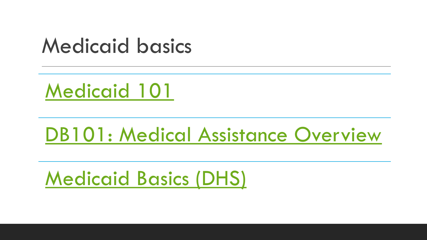### Medicaid basics

[Medicaid 101](https://mesh-mn.org/past-events/)

### [DB101: Medical Assistance Overview](https://mn.db101.org/mn/programs/health_coverage/ma_overview/)

[Medicaid Basics \(DHS\)](https://mn.gov/dhs/medicaid-matters/medicaid-minnesotacare-basics/medicaid-basics/)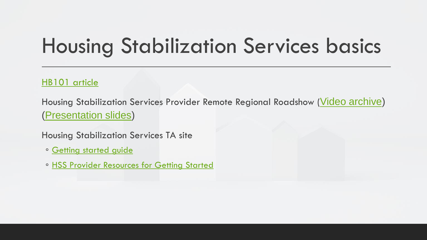### Housing Stabilization Services basics

#### [HB101 article](https://mn.hb101.org/a/47/)

Housing Stabilization Services Provider Remote Regional Roadshow ([Video archive\)](https://youtu.be/arXp7wgMS-o) [\(Presentation slides\)](https://mn.hb101.org/documents/Housing%20Stabilization%20Services%20Providers%20Remote%20Regional%20Roadshow.PDF)

Housing Stabilization Services TA site

- [Getting started guide](https://docs.google.com/document/d/11_AZAWaFNeehdB0SpH12D5eOvTsPNuLesBg25E2Y6tY/edit)
- [HSS Provider Resources for Getting Started](https://drive.google.com/file/d/1C1N9iLvu8l0pmNkErk-mjV_QiUZbLgRF/view?usp=sharing)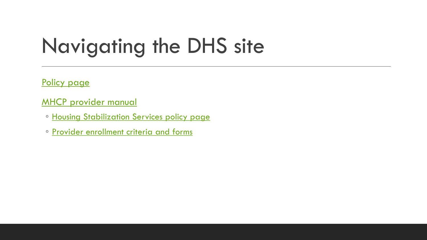### Navigating the DHS site

[Policy page](https://mn.gov/dhs/partners-and-providers/policies-procedures/housing-and-homelessness/housing-stabilization-services/housing-stabilization-services.jsp)

[MHCP provider manual](https://www.dhs.state.mn.us/main/idcplg?IdcService=GET_DYNAMIC_CONVERSION&RevisionSelectionMethod=LatestReleased&dDocName=id_000094)

- [Housing Stabilization Services policy page](https://www.dhs.state.mn.us/main/idcplg?IdcService=GET_DYNAMIC_CONVERSION&RevisionSelectionMethod=LatestReleased&dDocName=DHS-316637)
- [Provider enrollment criteria and forms](https://www.dhs.state.mn.us/main/idcplg?IdcService=GET_DYNAMIC_CONVERSION&RevisionSelectionMethod=LatestReleased&dDocName=ENROLL-HSS)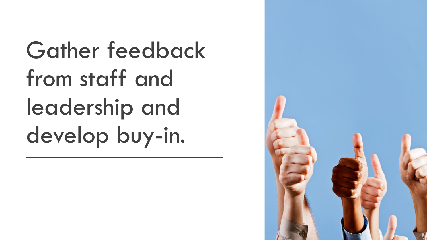Gather feedback from staff and leadership and develop buy-in.

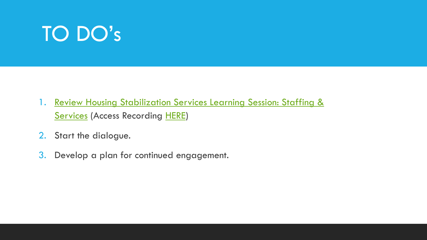- 1. Review Housing Stabilization Services Learning Session: Staffing & **Services (Access Recording [HERE](https://drive.google.com/file/d/1goGFe-Ztl4T4RCVQpwfMDlRhAa305Zm8/view?usp=sharing))**
- 2. Start the dialogue.
- 3. Develop a plan for continued engagement.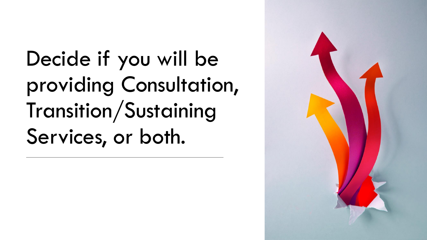Decide if you will be providing Consultation, Transition/Sustaining Services, or both.

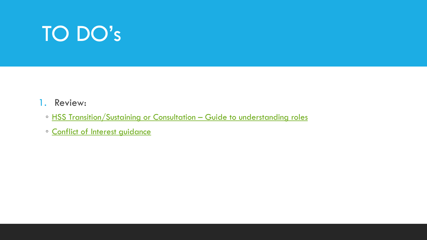#### 1. Review:

- [HSS Transition/Sustaining or Consultation](https://drive.google.com/file/d/1HkAZVGKscbOmpdWUx9FXNeXoLXz3e1Ob/view?usp=sharing)  Guide to understanding roles
- [Conflict of Interest guidance](https://mn.gov/dhs/partners-and-providers/policies-procedures/housing-and-homelessness/housing-stabilization-services/housing-stabilization-services.jsp#12)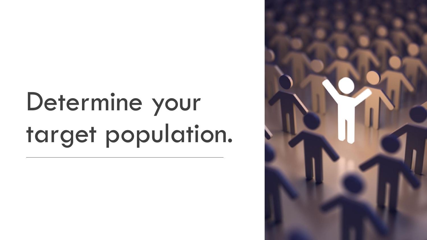# Determine your target population.

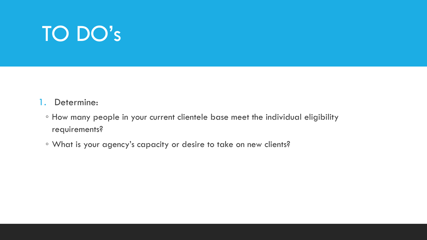#### 1. Determine:

- How many people in your current clientele base meet the individual eligibility requirements?
- What is your agency's capacity or desire to take on new clients?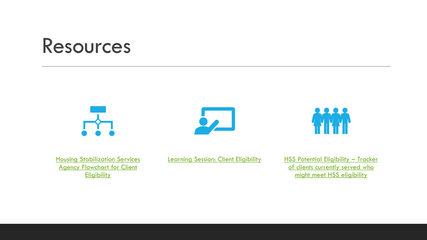### Resources







**Housing Stabilization Services Agency Flowchart for Client Eligibility** 

[Learning Session: Client Eligibility](https://mesh-mn.org/wp-content/uploads/2020/11/HSS-Learning-Session-2-client-eligibility.pdf) HSS Potential Eligibility - Tracker of clients currently served who might meet HSS eligibility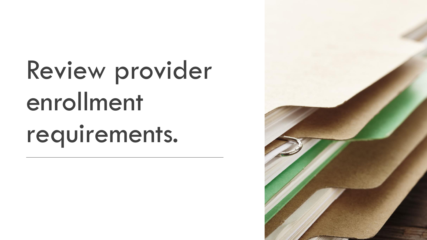# Review provider enrollment requirements.

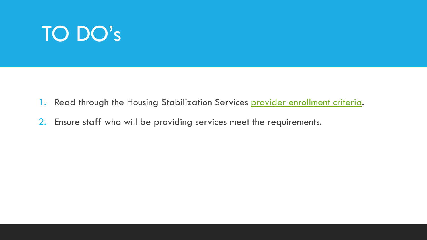- 1. Read through the Housing Stabilization Services [provider enrollment criteria.](https://www.dhs.state.mn.us/main/idcplg?IdcService=GET_DYNAMIC_CONVERSION&RevisionSelectionMethod=LatestReleased&dDocName=ENROLL-HSS)
- 2. Ensure staff who will be providing services meet the requirements.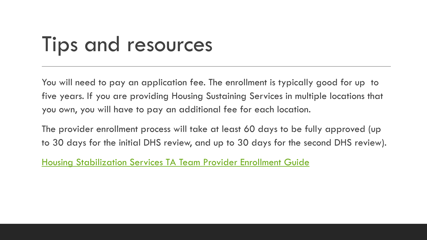### Tips and resources

You will need to pay an application fee. The enrollment is typically good for up to five years. If you are providing Housing Sustaining Services in multiple locations that you own, you will have to pay an additional fee for each location.

The provider enrollment process will take at least 60 days to be fully approved (up to 30 days for the initial DHS review, and up to 30 days for the second DHS review).

[Housing Stabilization Services TA Team Provider Enrollment Guide](https://docs.google.com/document/d/1VOdls3o3wJGrhVOmMPcjurbl28dtk1UHmdAqEY8e1z8/edit?usp=sharing)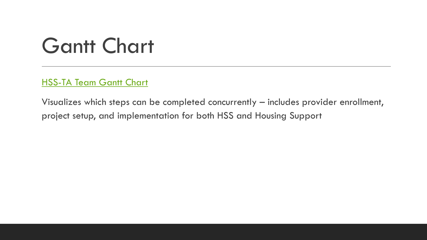### Gantt Chart

[HSS-TA Team Gantt Chart](https://docs.google.com/spreadsheets/d/1PgH5AldBhj-5dCDRqBpS4-w4cjKatfvBoKDcN-E5H7U/edit?usp=sharing)

Visualizes which steps can be completed concurrently – includes provider enrollment, project setup, and implementation for both HSS and Housing Support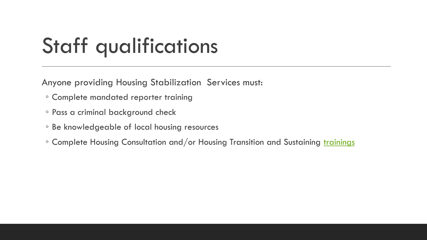## Staff qualifications

Anyone providing Housing Stabilization Services must:

- Complete mandated reporter training
- Pass a criminal background check
- Be knowledgeable of local housing resources
- Complete Housing Consultation and/or Housing Transition and Sustaining [trainings](https://drive.google.com/file/d/1Ry3VRxGyUB1woQ2tOFp_PG__jUwH87ZX/view?usp=sharing)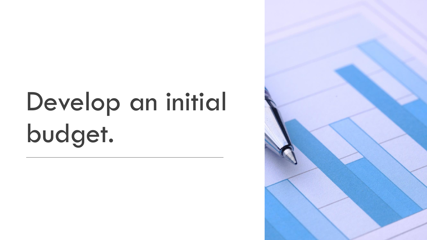# Develop an initial budget.

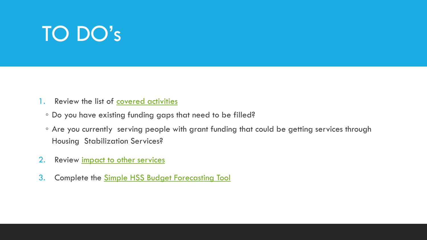- 1. Review the list of **covered activities** 
	- Do you have existing funding gaps that need to be filled?
	- Are you currently serving people with grant funding that could be getting services through Housing Stabilization Services?
- 2. Review impact to other services
- 3. Complete the [Simple HSS Budget Forecasting Tool](https://mesh-mn.org/wp-content/uploads/2021/11/HSS-TA-Team-Simple-HSS-Budget-Forecasting-Tool_Nov2021.xlsx)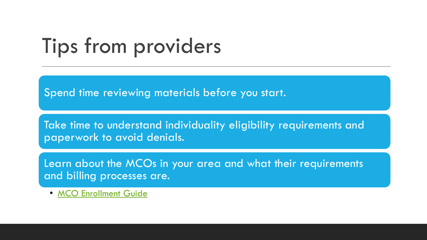### Tips from providers

Spend time reviewing materials before you start.

Take time to understand individuality eligibility requirements and paperwork to avoid denials.

Learn about the MCOs in your area and what their requirements and billing processes are.

• [MCO Enrollment Guide](https://docs.google.com/document/d/1YnK63V-34InzbufLa0X4D6erWE4hTcNVaDfNyZT-Gqc/edit?usp=sharing)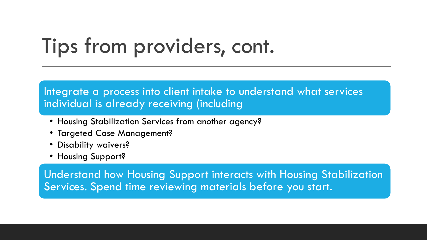### Tips from providers, cont.

#### Integrate a process into client intake to understand what services individual is already receiving (including

- Housing Stabilization Services from another agency?
- Targeted Case Management?
- Disability waivers?
- Housing Support?

Understand how Housing Support interacts with Housing Stabilization Services. Spend time reviewing materials before you start.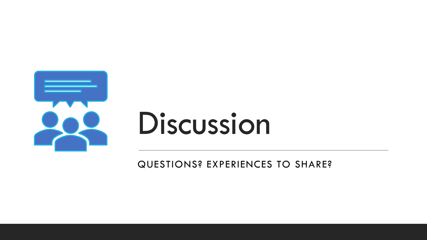

# Discussion

QUESTIONS? EXPERIENCES TO SHARE?